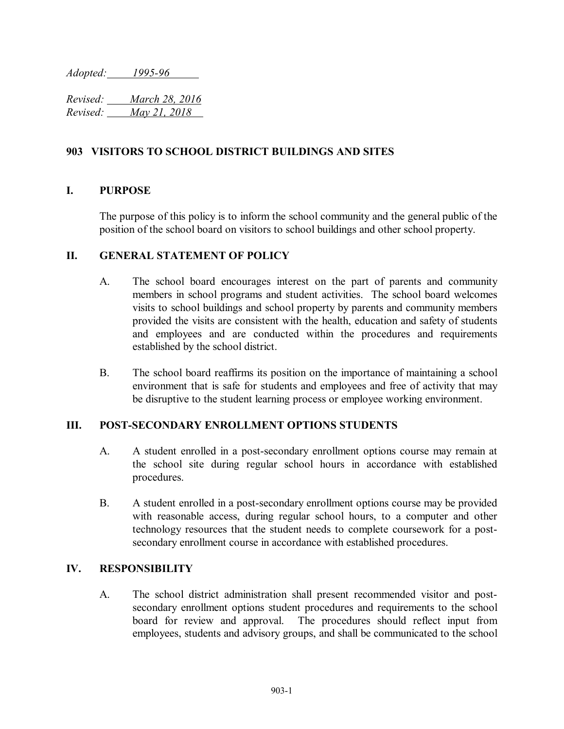*Adopted: 1995-96*

*Revised: March 28, 2016 Revised: May 21, 2018* 

## **903 VISITORS TO SCHOOL DISTRICT BUILDINGS AND SITES**

### **I. PURPOSE**

The purpose of this policy is to inform the school community and the general public of the position of the school board on visitors to school buildings and other school property.

### **II. GENERAL STATEMENT OF POLICY**

- A. The school board encourages interest on the part of parents and community members in school programs and student activities. The school board welcomes visits to school buildings and school property by parents and community members provided the visits are consistent with the health, education and safety of students and employees and are conducted within the procedures and requirements established by the school district.
- B. The school board reaffirms its position on the importance of maintaining a school environment that is safe for students and employees and free of activity that may be disruptive to the student learning process or employee working environment.

## **III. POST-SECONDARY ENROLLMENT OPTIONS STUDENTS**

- A. A student enrolled in a post-secondary enrollment options course may remain at the school site during regular school hours in accordance with established procedures.
- B. A student enrolled in a post-secondary enrollment options course may be provided with reasonable access, during regular school hours, to a computer and other technology resources that the student needs to complete coursework for a postsecondary enrollment course in accordance with established procedures.

### **IV. RESPONSIBILITY**

A. The school district administration shall present recommended visitor and postsecondary enrollment options student procedures and requirements to the school board for review and approval. The procedures should reflect input from employees, students and advisory groups, and shall be communicated to the school